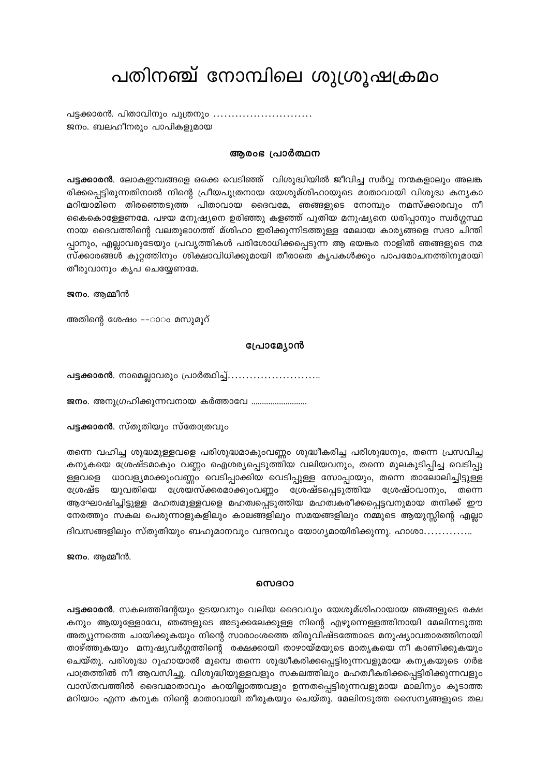# പതിനഞ്ച് നോമ്പിലെ ശുശ്രൂഷക്രമം

പട്ടക്കാരൻ. പിതാവിനും പുത്രനും ............................ ജനം. ബലഹീനരും പാപികളുമായ

### ആരംഭ പ്രാർത്ഥന

പട്ടക്കാരൻ. ലോകഇമ്പങ്ങളെ ഒക്കെ വെടിഞ്ഞ് വിശുദ്ധിയിൽ ജീവിച്ച സർവ്വ നന്മകളാലും അലങ്ക രിക്കപ്പെട്ടിരുന്നതിനാൽ നിന്റെ പ്രീയപുത്രനായ യേശുമ്ശിഹായുടെ മാതാവായി വിശുദ്ധ കന്യകാ മറിയാമിനെ തിരഞ്ഞെടുത്ത പിതാവായ ദൈവമേ, ഞങ്ങളുടെ നോമ്പും നമസ്ക്കാരവും നീ കൈകൊള്ളേണമേ. പഴയ മനുഷ്യനെ ഉരിഞ്ഞു കളഞ്ഞ് പുതിയ മനുഷ്യനെ ധരിപ്പാനും സ്വർഗ്ഗസ്ഥ നായ ദൈവത്തിന്റെ വലതുഭാഗത്ത് മ്ശിഹാ ഇരിക്കുന്നിടത്തുള്ള മേലായ കാര്യങ്ങളെ സദാ ചിന്തി പ്പാനും, എല്ലാവരുടേയും പ്രവൃത്തികൾ പരിശോധിക്കപ്പെടുന്ന ആ ഭയങ്കര നാളിൽ ഞങ്ങളുടെ നമ സ്ക്കാരങ്ങൾ കുറ്റത്തിനും ശിക്ഷാവിധിക്കുമായി തീരാതെ കൃപകൾക്കും പാപമോചനത്തിനുമായി തീരുവാനും കൃപ ചെയ്യേണമേ.

ജനം. ആമ്മീൻ

അതിന്റെ ശേഷം ––ാാം മസുമൂറ്

## പ്രോമ്യോൻ

**പട്ടക്കാരൻ**. നാമെല്ലാവരും പ്രാർത്ഥിച്ച്............................

ജനം. അനുഗ്രഹിക്കുന്നവനായ കർത്താവേ ..........................

**പട്ടക്കാരൻ**. സ്തുതിയും സ്തോത്രവും

തന്നെ വഹിച്ച ശുദ്ധമുള്ളവളെ പരിശുദ്ധമാകുംവണ്ണം ശുദ്ധീകരിച്ച പരിശുദ്ധനും, തന്നെ പ്രസവിച്ച കന്യകയെ ശ്രേഷ്ടമാകും വണ്ണം ഐശര്യപ്പെടുത്തിയ വലിയവനും, തന്നെ മുലകുടിപ്പിച്ച വെടിപ്പു ള്ളവളെ ധാവള്യമാക്കുംവണ്ണം വെടിപ്പാക്കിയ വെടിപ്പുള്ള സോപ്പായും, തന്നെ താലോലിച്ചിട്ടുള്ള ശ്രേഷ്ട യുവതിയെ ശ്രേയസ്ക്കരമാക്കുംവണ്ണം ശ്രേഷ്ടപ്പെടുത്തിയ ശ്രേഷ്ഠവാനും, തന്നെ ആഘോഷിച്ചിട്ടുള്ള മഹത്വമുള്ളവളെ മഹത്വപ്പെടുത്തിയ മഹത്വകരീക്കപ്പെട്ടവനുമായ തനിക്ക് ഈ നേരത്തും സകല പെരുന്നാളുകളിലും കാലങ്ങളിലും സമയങ്ങളിലും നമ്മുടെ ആയുസ്സിന്റെ എല്ലാ ദിവസങ്ങളിലും സ്തുതിയും ബഹുമാനവും വന്ദനവും യോഗ്യമായിരിക്കുന്നു. ഹാശാ..............

ജനം. ആമ്മീൻ.

#### സെദറാ

**പട്ടക്കാരൻ**. സകലത്തിന്റേയും ഉടയവനും വലിയ ദൈവവും യേശുമ്ശിഹായായ ഞങ്ങളുടെ രക്ഷ കനും ആയുള്ളോവേ, ഞങ്ങളുടെ അടുക്കലേക്കുള്ള നിന്റെ എഴുന്നെള്ളത്തിനായി മേലിന്നടുത്ത അത്യുന്നത്തെ ചായിക്കുകയും നിന്റെ സാരാംശത്തെ തിരുവിഷ്ടത്തോടെ മനുഷ്യാവതാരത്തിനായി താഴ്ത്തുകയും മനുഷ്യവർഗ്ഗത്തിന്റെ രക്ഷക്കായി താഴായ്മയുടെ മാതൃകയെ നീ കാണിക്കുകയും ചെയ്തു. പരിശുദ്ധ റൂഹായാൽ മുമ്പെ തന്നെ ശുദ്ധീകരിക്കപ്പെട്ടിരുന്നവളുമായ കന്യകയുടെ ഗർഭ പാത്രത്തിൽ നീ ആവസിച്ചു. വിശുദ്ധിയുള്ളവളും സകലത്തിലും മഹത്വീകരിക്കപ്പെട്ടിരിക്കുന്നവളും വാസ്തവത്തിൽ ദൈവമാതാവും കറയില്ലാത്തവളും ഉന്നതപ്പെട്ടിരുന്നവളുമായ മാലിന്യം കൂടാത്ത മറിയാം എന്ന കന്യക നിന്റെ മാതാവായി തീരുകയും ചെയ്തു. മേലിനടുത്ത സൈന്യങ്ങളുടെ തല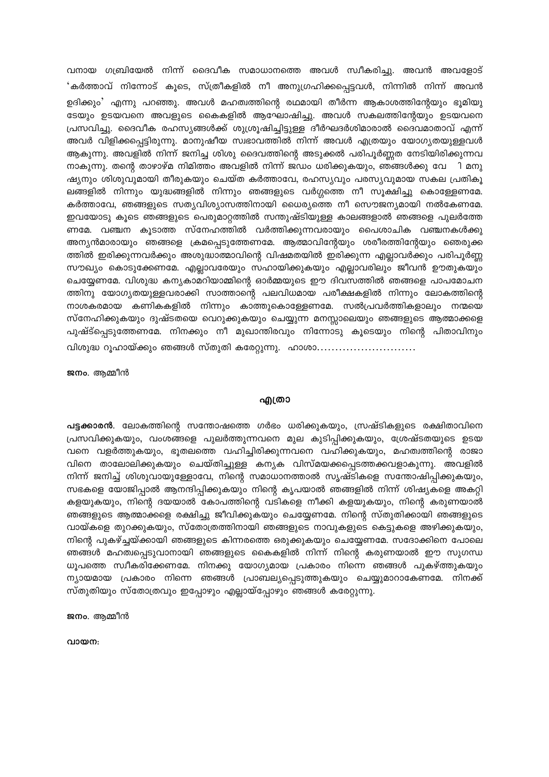വനായ ഗബ്രിയേൽ നിന്ന് ദൈവീക സമാധാനത്തെ അവൾ സ്വീകരിച്ചു. അവൻ അവളോട് 'കർത്താവ് നിന്നോട് കൂടെ, സ്ത്രീകളിൽ നീ അനുഗ്രഹിക്കപ്പെട്ടവൾ, നിന്നിൽ നിന്ന് അവൻ ഉദിക്കും' എന്നു പറഞ്ഞു. അവൾ മഹത്വത്തിന്റെ രഥമായി തീർന്ന ആകാശത്തിന്റേയും ഭൂമിയു ടേയും ഉടയവനെ അവളുടെ കൈകളിൽ ആഘോഷിച്ചു. അവൾ സകലത്തിന്റേയും ഉടയവനെ പ്രസവിച്ചു. ദൈവീക രഹസ്യങ്ങൾക്ക് ശുശ്രൂഷിച്ചിട്ടുള്ള ദീർഘദർശിമാരാൽ ദൈവമാതാവ് എന്ന് അവർ വിളിക്കപ്പെട്ടിരുന്നു. മാനുഷീയ സ്വഭാവത്തിൽ നിന്ന് അവൾ എത്രയും യോഗ്യതയുള്ളവൾ ആകുന്നു. അവളിൽ നിന്ന് ജനിച്ച ശിശു ദൈവത്തിന്റെ അടുക്കൽ പരിപൂർണ്ണത നേടിയിരിക്കുന്നവ നാകുന്നു. തന്റെ താഴാഴ്മ നിമിത്തം അവളിൽ നിന്ന് ജഡം ധരിക്കുകയും, ഞങ്ങൾക്കു വേ $\,$ ി മനു ഷ്യനും ശിശുവുമായി തീരുകയും ചെയ്ത കർത്താവേ, രഹസ്യവും പരസ്യവുമായ സകല പ്രതികൂ ലങ്ങളിൽ നിന്നും യുദ്ധങ്ങളിൽ നിന്നും ഞങ്ങളുടെ വർഗ്ഗത്തെ നീ സൂക്ഷിച്ചു കൊള്ളേണമേ. കർത്താവേ, ഞങ്ങളുടെ സത്യവിശ്യാസത്തിനായി ധൈര്യത്തെ നീ സൌജന്യമായി നൽകേണമേ. ഇവയോടു കൂടെ ഞങ്ങളുടെ പെരുമാറ്റത്തിൽ സന്തുഷ്ടിയുള്ള കാലങ്ങളാൽ ഞങ്ങളെ പുലർത്തേ ണമേ. വഞ്ചന കൂടാത്ത സ്നേഹത്തിൽ വർത്തിക്കുന്നവരായും പൈശാചിക വഞ്ചനകൾക്കു അന്യൻമാരായും ഞങ്ങളെ ക്രമപ്പെടുത്തേണമേ. ആത്മാവിന്റേയും ശരീരത്തിന്റേയും ഞെരുക്ക ത്തിൽ ഇരിക്കുന്നവർക്കും അശുദ്ധാത്മാവിന്റെ വിഷമതയിൽ ഇരിക്കുന്ന എല്ലാവർക്കും പരിപൂർണ്ണ സൗഖ്യം കൊടുക്കേണമേ. എല്ലാവരേയും സഹായിക്കുകയും എല്ലാവരിലും ജീവൻ ഊതുകയും ചെയ്യേണമേ. വിശുദ്ധ കന്യകാമറിയാമ്മിന്റെ ഓർമ്മയുടെ ഈ ദിവസത്തിൽ ഞങ്ങളെ പാപമോചന ത്തിനു യോഗ്യതയുള്ളവരാക്കി സാത്താന്റെ പലവിധമായ പരീക്ഷകളിൽ നിന്നും ലോകത്തിന്റെ നാശകരമായ കണികകളിൽ നിന്നും കാത്തുകൊള്ളേണമേ. സൽപ്രവർത്തികളാലും നന്മയെ സ്നേഹിക്കുകയും ദുഷ്ടതയെ വെറുക്കുകയും ചെയ്യുന്ന മനസ്സാലെയും ഞങ്ങളുടെ ആത്മാക്കളെ പുഷ്ട്പ്പെടുത്തേണമേ. നിനക്കും നീ മുഖാന്തിരവും നിന്നോടു കൂടെയും നിന്റെ പിതാവിനും വിശുദ്ധ റൂഹായ്ക്കും ഞങ്ങൾ സ്തുതി കരേറ്റുന്നു. ഹാശാ...........................

ജനം. ആമ്മീൻ

#### എത്രാ

**പട്ടക്കാരൻ**. ലോകത്തിന്റെ സന്തോഷത്തെ ഗർഭം ധരിക്കുകയും, സ്രഷ്ടികളുടെ രക്ഷിതാവിനെ പ്രസവിക്കുകയും, വംശങ്ങളെ പുലർത്തുന്നവനെ മുല കുടിപ്പിക്കുകയും, ശ്രേഷ്ടതയുടെ ഉടയ വനെ വളർത്തുകയും, ഭൂതലത്തെ വഹിച്ചിരിക്കുന്നവനെ വഹിക്കുകയും, മഹത്വത്തിന്റെ രാജാ വിനെ താലോലിക്കുകയും ചെയ്തിച്ചുള്ള കന്യക വിസ്മയക്കപ്പെടത്തക്കവളാകുന്നു. അവളിൽ നിന്ന് ജനിച്ച് ശിശുവായുള്ളോവേ, നിന്റെ സമാധാനത്താൽ സൃഷ്ടികളെ സന്തോഷിപ്പിക്കുകയും, സഭകളെ യോജിപ്പാൽ ആനന്ദിപ്പിക്കുകയും നിന്റെ കൃപയാൽ ഞങ്ങളിൽ നിന്ന് ശിഷ്യകളെ അകറ്റി കളയുകയും, നിന്റെ ദയയാൽ കോപത്തിന്റെ വടികളെ നീക്കി കളയുകയും, നിന്റെ കരുണയാൽ ഞങ്ങളുടെ ആത്മാക്കളെ രക്ഷിച്ചു ജീവിക്കുകയും ചെയ്യേണമേ. നിന്റെ സ്തുതിക്കായി ഞങ്ങളുടെ വായ്കളെ തുറക്കുകയും, സ്തോത്രത്തിനായി ഞങ്ങളുടെ നാവുകളുടെ കെട്ടുകളെ അഴിക്കുകയും, നിന്റെ പുകഴ്ച്ചയ്ക്കായി ഞങ്ങളുടെ കിന്നരത്തെ ഒരുക്കുകയും ചെയ്യേണമേ. സദോക്കിനെ പോലെ ഞങ്ങൾ മഹത്വപ്പെടുവാനായി ഞങ്ങളുടെ കൈകളിൽ നിന്ന് നിന്റെ കരുണയാൽ ഈ സുഗന്ധ ധൂപത്തെ സ്വീകരിക്കേണമേ. നിനക്കു യോഗ്യമായ പ്രകാരം നിന്നെ ഞങ്ങൾ പുകഴ്ത്തുകയും ന്യായമായ പ്രകാരം നിന്നെ ഞങ്ങൾ പ്രാബല്യപ്പെടുത്തുകയും ചെയ്യുമാറാകേണമേ. നിനക്ക് സ്തുതിയും സ്തോത്രവും ഇപ്പോഴും എല്ലായ്പ്പോഴും ഞങ്ങൾ കരേറ്റുന്നു.

ജനം. ആമ്മീൻ

വായന: